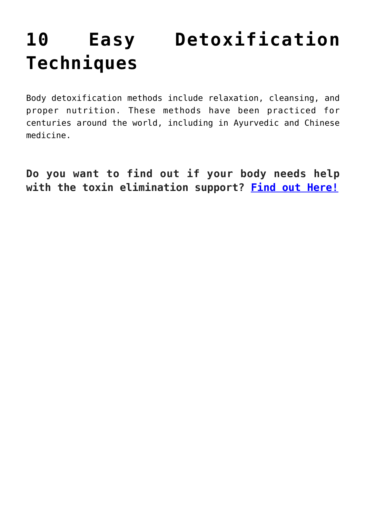## **[10 Easy Detoxification](https://sproutshealth.com/10-easy-detoxification-techniques/) [Techniques](https://sproutshealth.com/10-easy-detoxification-techniques/)**

Body detoxification methods include relaxation, cleansing, and proper nutrition. These methods have been practiced for centuries around the world, including in Ayurvedic and Chinese medicine.

**Do you want to find out if your body needs help with the toxin elimination support? [Find out Here!](https://lp.constantcontactpages.com/su/1U0UOYP)**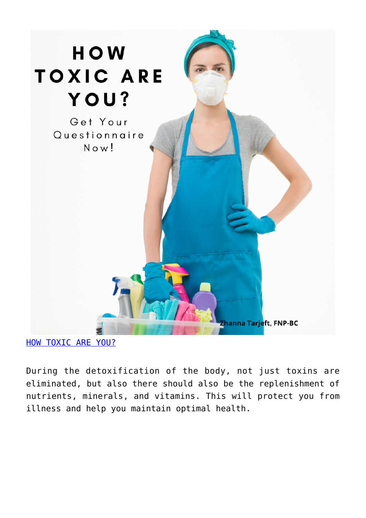

[HOW TOXIC ARE YOU?](https://lp.constantcontactpages.com/su/1U0UOYP)

During the detoxification of the body, not just toxins are eliminated, but also there should also be the replenishment of nutrients, minerals, and vitamins. This will protect you from illness and help you maintain optimal health.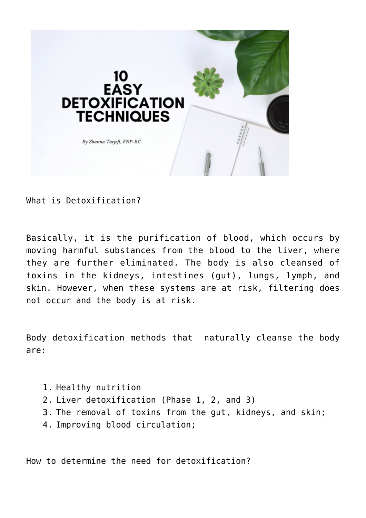

What is Detoxification?

Basically, it is the purification of blood, which occurs by moving harmful substances from the blood to the liver, where they are further eliminated. The body is also cleansed of toxins in the kidneys, intestines (gut), lungs, lymph, and skin. However, when these systems are at risk, filtering does not occur and the body is at risk.

Body detoxification methods that naturally cleanse the body are:

- 1. Healthy nutrition
- 2. Liver detoxification (Phase 1, 2, and 3)
- 3. The removal of toxins from the gut, kidneys, and skin;
- 4. Improving blood circulation;

How to determine the need for detoxification?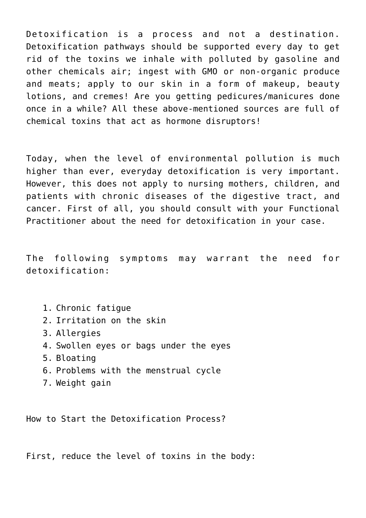Detoxification is a process and not a destination. Detoxification pathways should be supported every day to get rid of the toxins we inhale with polluted by gasoline and other chemicals air; ingest with GMO or non-organic produce and meats; apply to our skin in a form of makeup, beauty lotions, and cremes! Are you getting pedicures/manicures done once in a while? All these above-mentioned sources are full of chemical toxins that act as hormone disruptors!

Today, when the level of environmental pollution is much higher than ever, everyday detoxification is very important. However, this does not apply to nursing mothers, children, and patients with chronic diseases of the digestive tract, and cancer. First of all, you should consult with your Functional Practitioner about the need for detoxification in your case.

The following symptoms may warrant the need for detoxification:

- 1. Chronic fatigue
- 2. Irritation on the skin
- 3. Allergies
- 4. Swollen eyes or bags under the eyes
- 5. Bloating
- 6. Problems with the menstrual cycle
- 7. Weight gain

How to Start the Detoxification Process?

First, reduce the level of toxins in the body: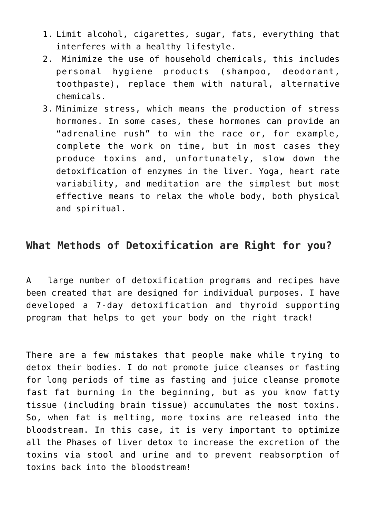- 1. Limit alcohol, cigarettes, sugar, fats, everything that interferes with a healthy lifestyle.
- 2. Minimize the use of household chemicals, this includes personal hygiene products (shampoo, deodorant, toothpaste), replace them with natural, alternative chemicals.
- 3. Minimize stress, which means the production of stress hormones. In some cases, these hormones can provide an "adrenaline rush" to win the race or, for example, complete the work on time, but in most cases they produce toxins and, unfortunately, slow down the detoxification of enzymes in the liver. Yoga, heart rate variability, and meditation are the simplest but most effective means to relax the whole body, both physical and spiritual.

## **What Methods of Detoxification are Right for you?**

A large number of detoxification programs and recipes have been created that are designed for individual purposes. I have developed a 7-day detoxification and thyroid supporting program that helps to get your body on the right track!

There are a few mistakes that people make while trying to detox their bodies. I do not promote juice cleanses or fasting for long periods of time as fasting and juice cleanse promote fast fat burning in the beginning, but as you know fatty tissue (including brain tissue) accumulates the most toxins. So, when fat is melting, more toxins are released into the bloodstream. In this case, it is very important to optimize all the Phases of liver detox to increase the excretion of the toxins via stool and urine and to prevent reabsorption of toxins back into the bloodstream!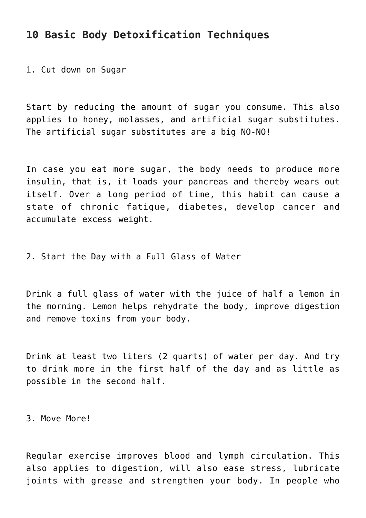## **10 Basic Body Detoxification Techniques**

1. Cut down on Sugar

Start by reducing the amount of sugar you consume. This also applies to honey, molasses, and artificial sugar substitutes. The artificial sugar substitutes are a big NO-NO!

In case you eat more sugar, the body needs to produce more insulin, that is, it loads your pancreas and thereby wears out itself. Over a long period of time, this habit can cause a state of chronic fatigue, diabetes, develop cancer and accumulate excess weight.

2. Start the Day with a Full Glass of Water

Drink a full glass of water with the juice of half a lemon in the morning. Lemon helps rehydrate the body, improve digestion and remove toxins from your body.

Drink at least two liters (2 quarts) of water per day. And try to drink more in the first half of the day and as little as possible in the second half.

3. Move More!

Regular exercise improves blood and lymph circulation. This also applies to digestion, will also ease stress, lubricate joints with grease and strengthen your body. In people who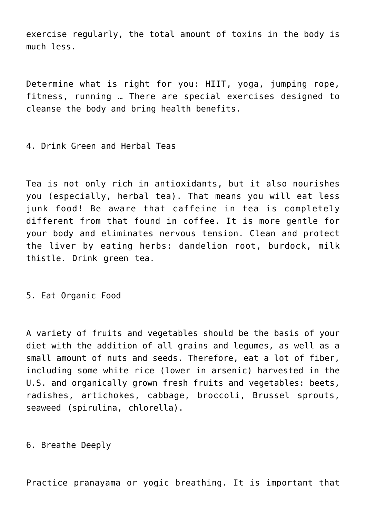exercise regularly, the total amount of toxins in the body is much less.

Determine what is right for you: HIIT, yoga, jumping rope, fitness, running … There are special exercises designed to cleanse the body and bring health benefits.

4. Drink Green and Herbal Teas

Tea is not only rich in antioxidants, but it also nourishes you (especially, herbal tea). That means you will eat less junk food! Be aware that caffeine in tea is completely different from that found in coffee. It is more gentle for your body and eliminates nervous tension. Clean and protect the liver by eating herbs: dandelion root, burdock, milk thistle. Drink green tea.

5. Eat Organic Food

A variety of fruits and vegetables should be the basis of your diet with the addition of all grains and legumes, as well as a small amount of nuts and seeds. Therefore, eat a lot of fiber, including some white rice (lower in arsenic) harvested in the U.S. and organically grown fresh fruits and vegetables: beets, radishes, artichokes, cabbage, broccoli, Brussel sprouts, seaweed (spirulina, chlorella).

6. Breathe Deeply

Practice pranayama or yogic breathing. It is important that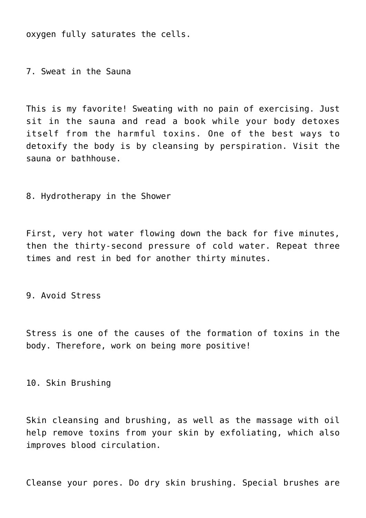oxygen fully saturates the cells.

7. Sweat in the Sauna

This is my favorite! Sweating with no pain of exercising. Just sit in the sauna and read a book while your body detoxes itself from the harmful toxins. One of the best ways to detoxify the body is by cleansing by perspiration. Visit the sauna or bathhouse.

8. Hydrotherapy in the Shower

First, very hot water flowing down the back for five minutes, then the thirty-second pressure of cold water. Repeat three times and rest in bed for another thirty minutes.

9. Avoid Stress

Stress is one of the causes of the formation of toxins in the body. Therefore, work on being more positive!

10. Skin Brushing

Skin cleansing and brushing, as well as the massage with oil help remove toxins from your skin by exfoliating, which also improves blood circulation.

Cleanse your pores. Do dry skin brushing. Special brushes are